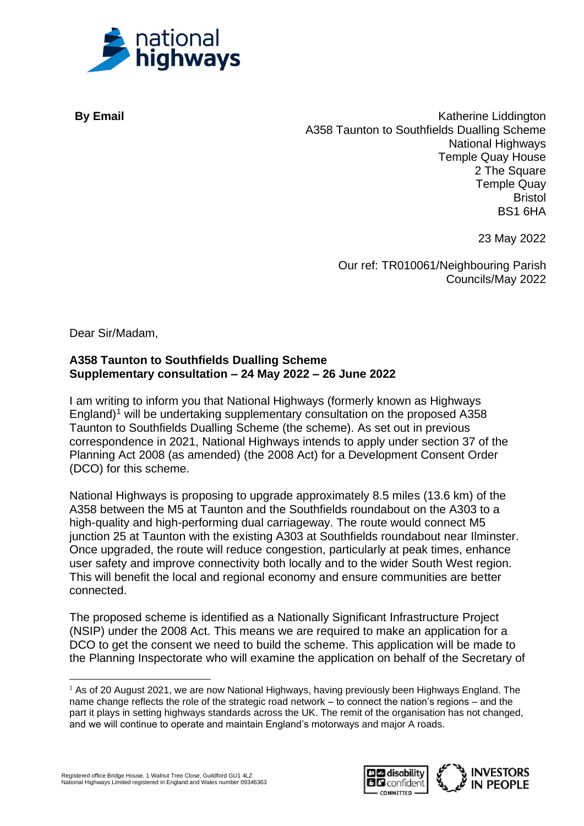

**By Email** Katherine Liddington A358 Taunton to Southfields Dualling Scheme National Highways Temple Quay House 2 The Square Temple Quay Bristol BS1 6HA

23 May 2022

Our ref: TR010061/Neighbouring Parish Councils/May 2022

Dear Sir/Madam,

## **A358 Taunton to Southfields Dualling Scheme Supplementary consultation – 24 May 2022 – 26 June 2022**

I am writing to inform you that National Highways (formerly known as Highways England)<sup>1</sup> will be undertaking supplementary consultation on the proposed A358 Taunton to Southfields Dualling Scheme (the scheme). As set out in previous correspondence in 2021, National Highways intends to apply under section 37 of the Planning Act 2008 (as amended) (the 2008 Act) for a Development Consent Order (DCO) for this scheme.

National Highways is proposing to upgrade approximately 8.5 miles (13.6 km) of the A358 between the M5 at Taunton and the Southfields roundabout on the A303 to a high-quality and high-performing dual carriageway. The route would connect M5 junction 25 at Taunton with the existing A303 at Southfields roundabout near Ilminster. Once upgraded, the route will reduce congestion, particularly at peak times, enhance user safety and improve connectivity both locally and to the wider South West region. This will benefit the local and regional economy and ensure communities are better connected.

The proposed scheme is identified as a Nationally Significant Infrastructure Project (NSIP) under the 2008 Act. This means we are required to make an application for a DCO to get the consent we need to build the scheme. This application will be made to the Planning Inspectorate who will examine the application on behalf of the Secretary of



<sup>&</sup>lt;sup>1</sup> As of 20 August 2021, we are now National Highways, having previously been Highways England. The name change reflects the role of the strategic road network – to connect the nation's regions – and the part it plays in setting highways standards across the UK. The remit of the organisation has not changed, and we will continue to operate and maintain England's motorways and major A roads.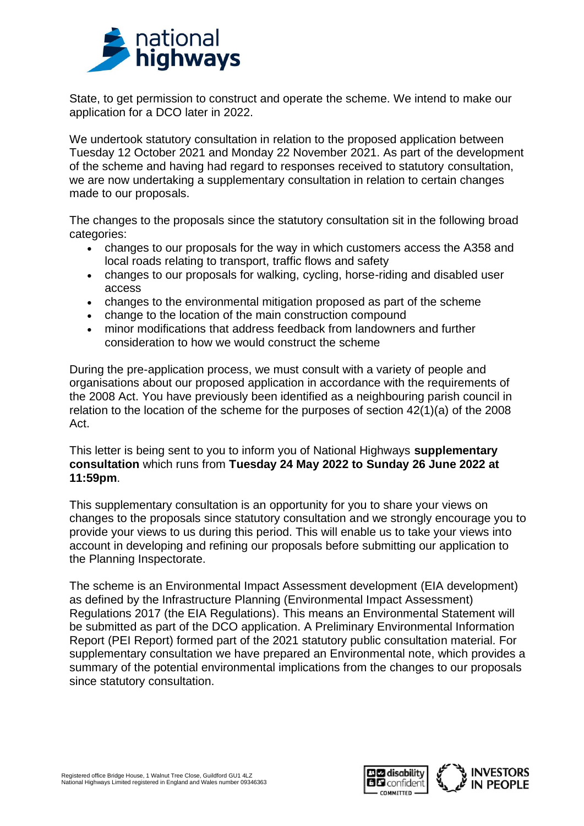

State, to get permission to construct and operate the scheme. We intend to make our application for a DCO later in 2022.

We undertook statutory consultation in relation to the proposed application between Tuesday 12 October 2021 and Monday 22 November 2021. As part of the development of the scheme and having had regard to responses received to statutory consultation, we are now undertaking a supplementary consultation in relation to certain changes made to our proposals.

The changes to the proposals since the statutory consultation sit in the following broad categories:

- changes to our proposals for the way in which customers access the A358 and local roads relating to transport, traffic flows and safety
- changes to our proposals for walking, cycling, horse-riding and disabled user access
- changes to the environmental mitigation proposed as part of the scheme
- change to the location of the main construction compound
- minor modifications that address feedback from landowners and further consideration to how we would construct the scheme

During the pre-application process, we must consult with a variety of people and organisations about our proposed application in accordance with the requirements of the 2008 Act. You have previously been identified as a neighbouring parish council in relation to the location of the scheme for the purposes of section 42(1)(a) of the 2008 Act.

This letter is being sent to you to inform you of National Highways **supplementary consultation** which runs from **Tuesday 24 May 2022 to Sunday 26 June 2022 at 11:59pm**.

This supplementary consultation is an opportunity for you to share your views on changes to the proposals since statutory consultation and we strongly encourage you to provide your views to us during this period. This will enable us to take your views into account in developing and refining our proposals before submitting our application to the Planning Inspectorate.

The scheme is an Environmental Impact Assessment development (EIA development) as defined by the Infrastructure Planning (Environmental Impact Assessment) Regulations 2017 (the EIA Regulations). This means an Environmental Statement will be submitted as part of the DCO application. A Preliminary Environmental Information Report (PEI Report) formed part of the 2021 statutory public consultation material. For supplementary consultation we have prepared an Environmental note, which provides a summary of the potential environmental implications from the changes to our proposals since statutory consultation.

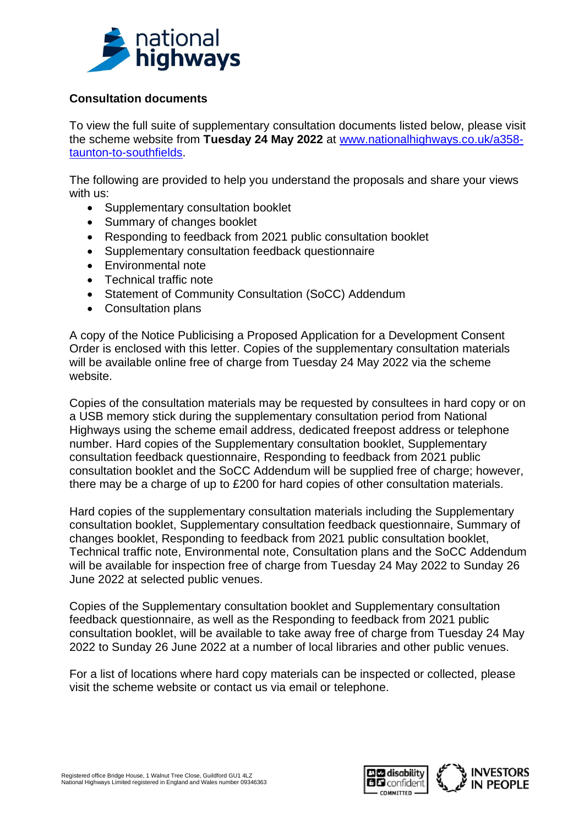

## **Consultation documents**

To view the full suite of supplementary consultation documents listed below, please visit the scheme website from **Tuesday 24 May 2022** at [www.nationalhighways.co.uk/a358](http://www.nationalhighways.co.uk/a358-taunton-to-southfields) [taunton-to-southfields.](http://www.nationalhighways.co.uk/a358-taunton-to-southfields)

The following are provided to help you understand the proposals and share your views with us:

- Supplementary consultation booklet
- Summary of changes booklet
- Responding to feedback from 2021 public consultation booklet
- Supplementary consultation feedback questionnaire
- Environmental note
- Technical traffic note
- Statement of Community Consultation (SoCC) Addendum
- Consultation plans

A copy of the Notice Publicising a Proposed Application for a Development Consent Order is enclosed with this letter. Copies of the supplementary consultation materials will be available online free of charge from Tuesday 24 May 2022 via the scheme website.

Copies of the consultation materials may be requested by consultees in hard copy or on a USB memory stick during the supplementary consultation period from National Highways using the scheme email address, dedicated freepost address or telephone number. Hard copies of the Supplementary consultation booklet, Supplementary consultation feedback questionnaire, Responding to feedback from 2021 public consultation booklet and the SoCC Addendum will be supplied free of charge; however, there may be a charge of up to £200 for hard copies of other consultation materials.

Hard copies of the supplementary consultation materials including the Supplementary consultation booklet, Supplementary consultation feedback questionnaire, Summary of changes booklet, Responding to feedback from 2021 public consultation booklet, Technical traffic note, Environmental note, Consultation plans and the SoCC Addendum will be available for inspection free of charge from Tuesday 24 May 2022 to Sunday 26 June 2022 at selected public venues.

Copies of the Supplementary consultation booklet and Supplementary consultation feedback questionnaire, as well as the Responding to feedback from 2021 public consultation booklet, will be available to take away free of charge from Tuesday 24 May 2022 to Sunday 26 June 2022 at a number of local libraries and other public venues.

For a list of locations where hard copy materials can be inspected or collected, please visit the scheme website or contact us via email or telephone.

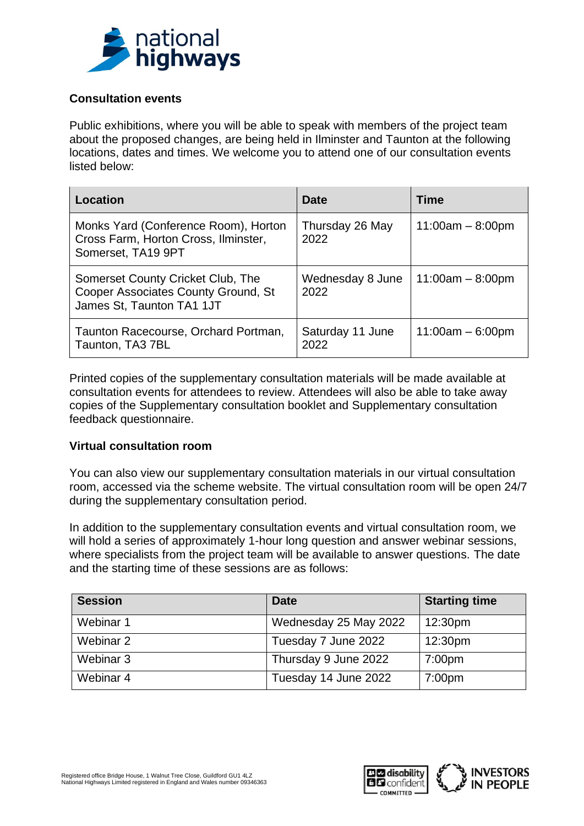

## **Consultation events**

Public exhibitions, where you will be able to speak with members of the project team about the proposed changes, are being held in Ilminster and Taunton at the following locations, dates and times. We welcome you to attend one of our consultation events listed below:

| Location                                                                                              | Date                     | Time               |
|-------------------------------------------------------------------------------------------------------|--------------------------|--------------------|
| Monks Yard (Conference Room), Horton<br>Cross Farm, Horton Cross, Ilminster,<br>Somerset, TA19 9PT    | Thursday 26 May<br>2022  | $11:00am - 8:00pm$ |
| Somerset County Cricket Club, The<br>Cooper Associates County Ground, St<br>James St, Taunton TA1 1JT | Wednesday 8 June<br>2022 | $11:00am - 8:00pm$ |
| Taunton Racecourse, Orchard Portman,<br>Taunton, TA3 7BL                                              | Saturday 11 June<br>2022 | $11:00am - 6:00pm$ |

Printed copies of the supplementary consultation materials will be made available at consultation events for attendees to review. Attendees will also be able to take away copies of the Supplementary consultation booklet and Supplementary consultation feedback questionnaire.

## **Virtual consultation room**

You can also view our supplementary consultation materials in our virtual consultation room, accessed via the scheme website. The virtual consultation room will be open 24/7 during the supplementary consultation period.

In addition to the supplementary consultation events and virtual consultation room, we will hold a series of approximately 1-hour long question and answer webinar sessions, where specialists from the project team will be available to answer questions. The date and the starting time of these sessions are as follows:

| <b>Session</b> | <b>Date</b>           | <b>Starting time</b> |
|----------------|-----------------------|----------------------|
| Webinar 1      | Wednesday 25 May 2022 | 12:30pm              |
| Webinar 2      | Tuesday 7 June 2022   | 12:30pm              |
| Webinar 3      | Thursday 9 June 2022  | 7:00 <sub>pm</sub>   |
| Webinar 4      | Tuesday 14 June 2022  | 7:00pm               |